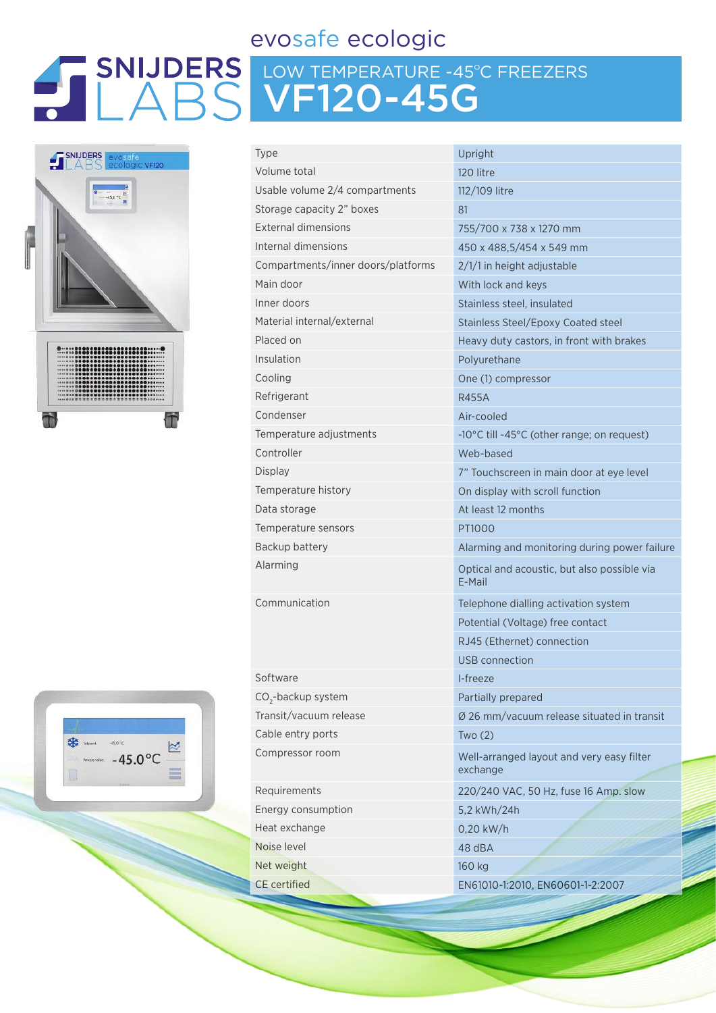### evosafe ecologic

# LOW TEMPERATURE -45ºC FREEZERS VF120-45G





| <b>Type</b>                        | Upright                                               |
|------------------------------------|-------------------------------------------------------|
| Volume total                       | 120 litre                                             |
| Usable volume 2/4 compartments     | 112/109 litre                                         |
| Storage capacity 2" boxes          | 81                                                    |
| <b>External dimensions</b>         | 755/700 x 738 x 1270 mm                               |
| Internal dimensions                | 450 x 488,5/454 x 549 mm                              |
| Compartments/inner doors/platforms | 2/1/1 in height adjustable                            |
| Main door                          | With lock and keys                                    |
| Inner doors                        | Stainless steel, insulated                            |
| Material internal/external         | <b>Stainless Steel/Epoxy Coated steel</b>             |
| Placed on                          | Heavy duty castors, in front with brakes              |
| Insulation                         | Polyurethane                                          |
| Cooling                            | One (1) compressor                                    |
| Refrigerant                        | <b>R455A</b>                                          |
| Condenser                          | Air-cooled                                            |
| Temperature adjustments            | -10°C till -45°C (other range; on request)            |
| Controller                         | Web-based                                             |
| <b>Display</b>                     | 7" Touchscreen in main door at eye level              |
| Temperature history                | On display with scroll function                       |
| Data storage                       | At least 12 months                                    |
| Temperature sensors                | PT1000                                                |
| Backup battery                     | Alarming and monitoring during power failure          |
| Alarming                           | Optical and acoustic, but also possible via<br>E-Mail |
| Communication                      | Telephone dialling activation system                  |
|                                    | Potential (Voltage) free contact                      |
|                                    | RJ45 (Ethernet) connection                            |
|                                    | USB connection                                        |
| Software                           | I-freeze                                              |
| CO <sub>2</sub> -backup system     | Partially prepared                                    |
| Transit/vacuum release             | Ø 26 mm/vacuum release situated in transit            |
| Cable entry ports                  | Two(2)                                                |
| Compressor room                    | Well-arranged layout and very easy filter<br>exchange |
| Requirements                       | 220/240 VAC, 50 Hz, fuse 16 Amp. slow                 |
| Energy consumption                 | 5,2 kWh/24h                                           |
| Heat exchange                      | 0,20 kW/h                                             |
| Noise level                        | 48 dBA                                                |
| Net weight                         | 160 kg                                                |
| <b>CE</b> certified                | EN61010-1:2010, EN60601-1-2:2007                      |